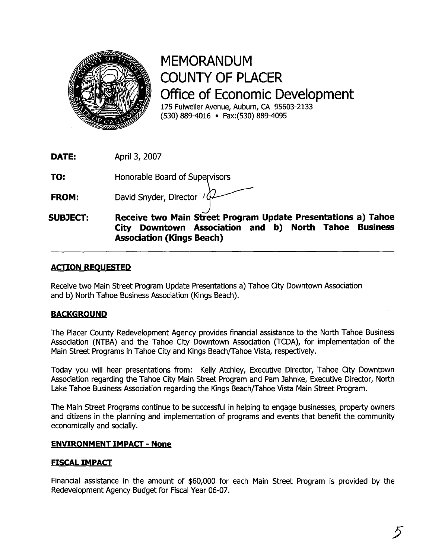

MEMORANDUM COUNTY OF PLACER Office of Economic Development 175 Fulweiler Avenue, Auburn, **CA** 95603-2133 (530) 889-4016 Fax: (530) 889-4095

**DATE:** April **3,** 2007

**TO:** Honorable Board of Supervisors

**FROM:** David Snyder, Director /  $\oint$ 

J **SUBJECT: Receive two Main Street Program Update Presentations a) Tahoe City Downtown Association and b) North Tahoe Business Association (Kings Beach)** 

## **ACTION REQUESTED**

Receive two Main Street Program Update Presentations a) Tahoe City Downtown Association and b) North Tahoe Business Association (Kings Beach).

## **BACKGROUND**

The Placer County Redevelopment Agency provides financial assistance to the North Tahoe Business Association (NTBA) and the Tahoe City Downtown Association (TCDA), for implementation of the Main Street Programs in Tahoe City and Kings Beach/Tahoe Vista, respectively.

Today you will hear presentations from: Kelly Atchley, Executive Director, Tahoe City Downtown Association regarding the Tahoe City Main Street Program and Pam Jahnke, Executive Director, North Lake Tahoe Business Association regarding the Kings Beach/Tahoe Vista Main Street Program.

The Main Street Programs continue to be successful in helping to engage businesses, property owners and citizens in the planning and implementation of programs and events that benefit the community economically and socially.

## **ENVIRONMENT IMPACT** - **None**

## **FISCAL IMPACT**

Financial assistance in the amount of \$60,000 for each Main Street Program is provided by the Redevelopment Agency Budget for Fiscal Year 06-07.